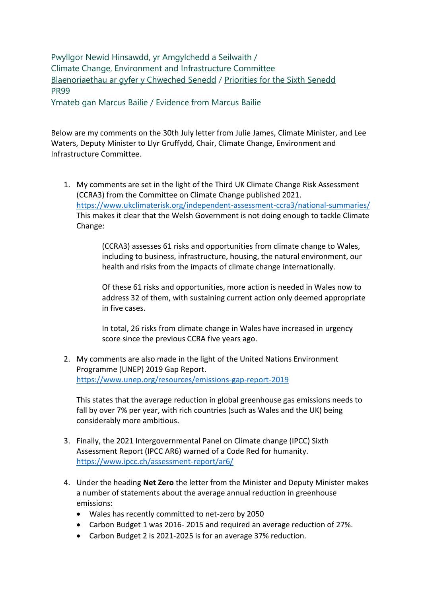Pwyllgor Newid Hinsawdd, yr Amgylchedd a Seilwaith / Climate Change, Environment and Infrastructure Committee [Blaenoriaethau ar gyfer y Chweched Senedd](https://busnes.senedd.cymru/mgConsultationDisplay.aspx?id=427&RPID=1026452002&cp=yes) / [Priorities for the Sixth Senedd](https://business.senedd.wales/mgConsultationDisplay.aspx?id=427&RPID=1026452002&cp=yes) PR99

Ymateb gan Marcus Bailie / Evidence from Marcus Bailie

Below are my comments on the 30th July letter from Julie James, Climate Minister, and Lee Waters, Deputy Minister to Llyr Gruffydd, Chair, Climate Change, Environment and Infrastructure Committee.

1. My comments are set in the light of the Third UK Climate Change Risk Assessment (CCRA3) from the Committee on Climate Change published 2021. <https://www.ukclimaterisk.org/independent-assessment-ccra3/national-summaries/> This makes it clear that the Welsh Government is not doing enough to tackle Climate Change:

> (CCRA3) assesses 61 risks and opportunities from climate change to Wales, including to business, infrastructure, housing, the natural environment, our health and risks from the impacts of climate change internationally.

Of these 61 risks and opportunities, more action is needed in Wales now to address 32 of them, with sustaining current action only deemed appropriate in five cases.

In total, 26 risks from climate change in Wales have increased in urgency score since the previous CCRA five years ago.

2. My comments are also made in the light of the United Nations Environment Programme (UNEP) 2019 Gap Report. <https://www.unep.org/resources/emissions-gap-report-2019>

This states that the average reduction in global greenhouse gas emissions needs to fall by over 7% per year, with rich countries (such as Wales and the UK) being considerably more ambitious.

- 3. Finally, the 2021 Intergovernmental Panel on Climate change (IPCC) Sixth Assessment Report (IPCC AR6) warned of a Code Red for humanity. <https://www.ipcc.ch/assessment-report/ar6/>
- 4. Under the heading **Net Zero** the letter from the Minister and Deputy Minister makes a number of statements about the average annual reduction in greenhouse emissions:
	- Wales has recently committed to net-zero by 2050
	- Carbon Budget 1 was 2016- 2015 and required an average reduction of 27%.
	- Carbon Budget 2 is 2021-2025 is for an average 37% reduction.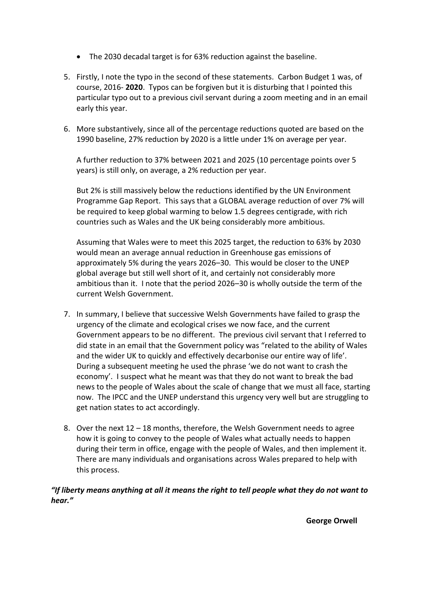- The 2030 decadal target is for 63% reduction against the baseline.
- 5. Firstly, I note the typo in the second of these statements. Carbon Budget 1 was, of course, 2016- **2020**. Typos can be forgiven but it is disturbing that I pointed this particular typo out to a previous civil servant during a zoom meeting and in an email early this year.
- 6. More substantively, since all of the percentage reductions quoted are based on the 1990 baseline, 27% reduction by 2020 is a little under 1% on average per year.

A further reduction to 37% between 2021 and 2025 (10 percentage points over 5 years) is still only, on average, a 2% reduction per year.

But 2% is still massively below the reductions identified by the UN Environment Programme Gap Report. This says that a GLOBAL average reduction of over 7% will be required to keep global warming to below 1.5 degrees centigrade, with rich countries such as Wales and the UK being considerably more ambitious.

Assuming that Wales were to meet this 2025 target, the reduction to 63% by 2030 would mean an average annual reduction in Greenhouse gas emissions of approximately 5% during the years 2026–30. This would be closer to the UNEP global average but still well short of it, and certainly not considerably more ambitious than it. I note that the period 2026–30 is wholly outside the term of the current Welsh Government.

- 7. In summary, I believe that successive Welsh Governments have failed to grasp the urgency of the climate and ecological crises we now face, and the current Government appears to be no different. The previous civil servant that I referred to did state in an email that the Government policy was "related to the ability of Wales and the wider UK to quickly and effectively decarbonise our entire way of life'. During a subsequent meeting he used the phrase 'we do not want to crash the economy'. I suspect what he meant was that they do not want to break the bad news to the people of Wales about the scale of change that we must all face, starting now. The IPCC and the UNEP understand this urgency very well but are struggling to get nation states to act accordingly.
- 8. Over the next 12 18 months, therefore, the Welsh Government needs to agree how it is going to convey to the people of Wales what actually needs to happen during their term in office, engage with the people of Wales, and then implement it. There are many individuals and organisations across Wales prepared to help with this process.

*"If liberty means anything at all it means the right to tell people what they do not want to hear."*

**George Orwell**